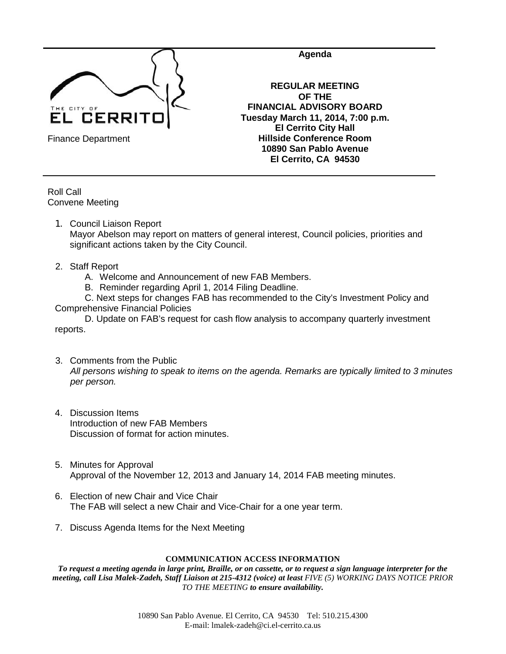

**Agenda**

**REGULAR MEETING OF THE FINANCIAL ADVISORY BOARD Tuesday March 11, 2014, 7:00 p.m. El Cerrito City Hall Hillside Conference Room 10890 San Pablo Avenue El Cerrito, CA 94530**

Finance Department

Roll Call Convene Meeting

- 1. Council Liaison Report Mayor Abelson may report on matters of general interest, Council policies, priorities and significant actions taken by the City Council.
- 2. Staff Report
	- A. Welcome and Announcement of new FAB Members.
	- B. Reminder regarding April 1, 2014 Filing Deadline.

C. Next steps for changes FAB has recommended to the City's Investment Policy and Comprehensive Financial Policies

D. Update on FAB's request for cash flow analysis to accompany quarterly investment reports.

- 3. Comments from the Public *All persons wishing to speak to items on the agenda. Remarks are typically limited to 3 minutes per person.*
- 4. Discussion Items Introduction of new FAB Members Discussion of format for action minutes.
- 5. Minutes for Approval Approval of the November 12, 2013 and January 14, 2014 FAB meeting minutes.
- 6. Election of new Chair and Vice Chair The FAB will select a new Chair and Vice-Chair for a one year term.
- 7. Discuss Agenda Items for the Next Meeting

### **COMMUNICATION ACCESS INFORMATION**

*To request a meeting agenda in large print, Braille, or on cassette, or to request a sign language interpreter for the meeting, call Lisa Malek-Zadeh, Staff Liaison at 215-4312 (voice) at least FIVE (5) WORKING DAYS NOTICE PRIOR TO THE MEETING to ensure availability.*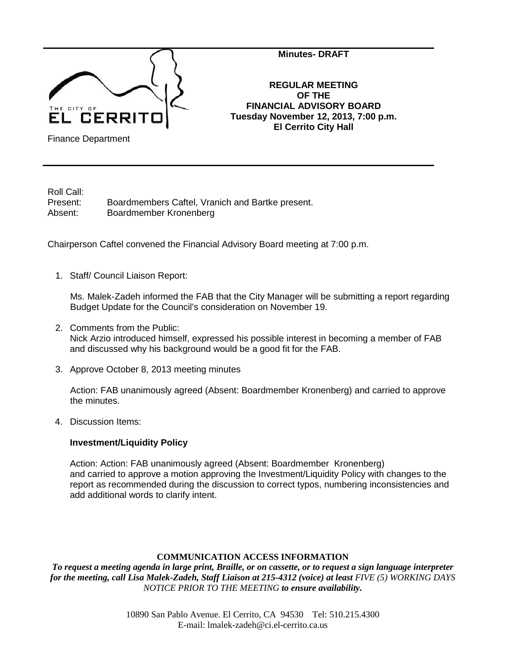

**Minutes- DRAFT**

**REGULAR MEETING OF THE FINANCIAL ADVISORY BOARD Tuesday November 12, 2013, 7:00 p.m. El Cerrito City Hall**

Finance Department

Roll Call:

Present: Boardmembers Caftel, Vranich and Bartke present. Absent: Boardmember Kronenberg

Chairperson Caftel convened the Financial Advisory Board meeting at 7:00 p.m.

1. Staff/ Council Liaison Report:

Ms. Malek-Zadeh informed the FAB that the City Manager will be submitting a report regarding Budget Update for the Council's consideration on November 19.

- 2. Comments from the Public: Nick Arzio introduced himself, expressed his possible interest in becoming a member of FAB and discussed why his background would be a good fit for the FAB.
- 3. Approve October 8, 2013 meeting minutes

Action: FAB unanimously agreed (Absent: Boardmember Kronenberg) and carried to approve the minutes.

4. Discussion Items:

## **Investment/Liquidity Policy**

Action: Action: FAB unanimously agreed (Absent: Boardmember Kronenberg) and carried to approve a motion approving the Investment/Liquidity Policy with changes to the report as recommended during the discussion to correct typos, numbering inconsistencies and add additional words to clarify intent.

## **COMMUNICATION ACCESS INFORMATION**

*To request a meeting agenda in large print, Braille, or on cassette, or to request a sign language interpreter for the meeting, call Lisa Malek-Zadeh, Staff Liaison at 215-4312 (voice) at least FIVE (5) WORKING DAYS NOTICE PRIOR TO THE MEETING to ensure availability.*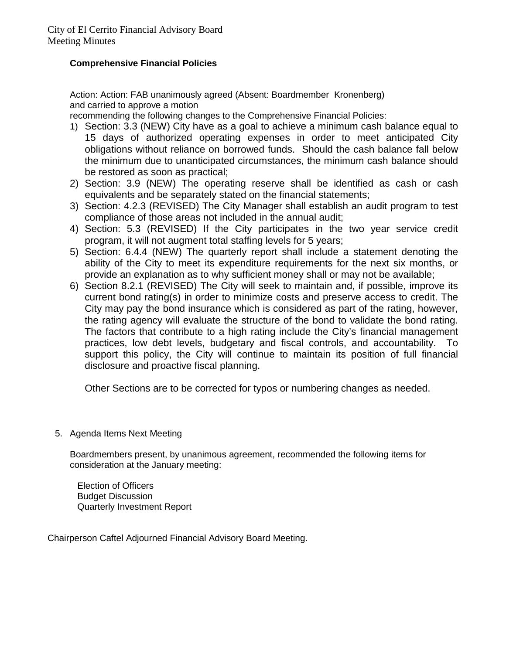# **Comprehensive Financial Policies**

Action: Action: FAB unanimously agreed (Absent: Boardmember Kronenberg) and carried to approve a motion

recommending the following changes to the Comprehensive Financial Policies:

- 1) Section: 3.3 (NEW) City have as a goal to achieve a minimum cash balance equal to 15 days of authorized operating expenses in order to meet anticipated City obligations without reliance on borrowed funds. Should the cash balance fall below the minimum due to unanticipated circumstances, the minimum cash balance should be restored as soon as practical;
- 2) Section: 3.9 (NEW) The operating reserve shall be identified as cash or cash equivalents and be separately stated on the financial statements;
- 3) Section: 4.2.3 (REVISED) The City Manager shall establish an audit program to test compliance of those areas not included in the annual audit;
- 4) Section: 5.3 (REVISED) If the City participates in the two year service credit program, it will not augment total staffing levels for 5 years;
- 5) Section: 6.4.4 (NEW) The quarterly report shall include a statement denoting the ability of the City to meet its expenditure requirements for the next six months, or provide an explanation as to why sufficient money shall or may not be available;
- 6) Section 8.2.1 (REVISED) The City will seek to maintain and, if possible, improve its current bond rating(s) in order to minimize costs and preserve access to credit. The City may pay the bond insurance which is considered as part of the rating, however, the rating agency will evaluate the structure of the bond to validate the bond rating. The factors that contribute to a high rating include the City's financial management practices, low debt levels, budgetary and fiscal controls, and accountability. To support this policy, the City will continue to maintain its position of full financial disclosure and proactive fiscal planning.

Other Sections are to be corrected for typos or numbering changes as needed.

5. Agenda Items Next Meeting

Boardmembers present, by unanimous agreement, recommended the following items for consideration at the January meeting:

Election of Officers Budget Discussion Quarterly Investment Report

Chairperson Caftel Adjourned Financial Advisory Board Meeting.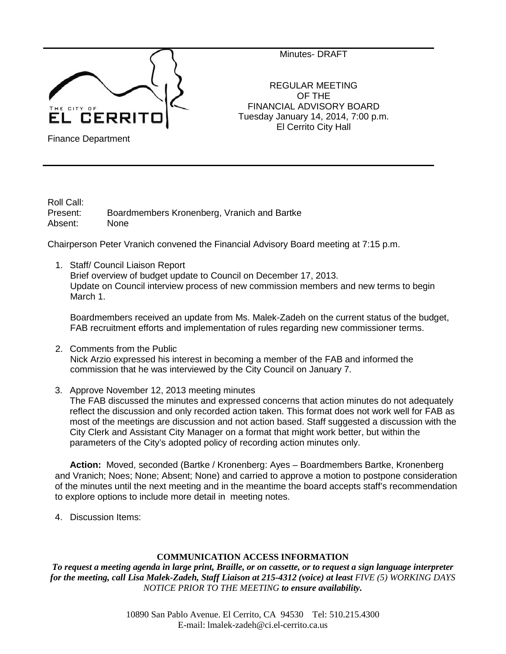

Minutes- DRAFT

REGULAR MEETING OF THE FINANCIAL ADVISORY BOARD Tuesday January 14, 2014, 7:00 p.m. El Cerrito City Hall

Finance Department

Roll Call:<br>Present: Boardmembers Kronenberg, Vranich and Bartke Absent: None

Chairperson Peter Vranich convened the Financial Advisory Board meeting at 7:15 p.m.

1. Staff/ Council Liaison Report Brief overview of budget update to Council on December 17, 2013. Update on Council interview process of new commission members and new terms to begin March 1.

Boardmembers received an update from Ms. Malek-Zadeh on the current status of the budget, FAB recruitment efforts and implementation of rules regarding new commissioner terms.

- 2. Comments from the Public Nick Arzio expressed his interest in becoming a member of the FAB and informed the commission that he was interviewed by the City Council on January 7.
- 3. Approve November 12, 2013 meeting minutes

The FAB discussed the minutes and expressed concerns that action minutes do not adequately reflect the discussion and only recorded action taken. This format does not work well for FAB as most of the meetings are discussion and not action based. Staff suggested a discussion with the City Clerk and Assistant City Manager on a format that might work better, but within the parameters of the City's adopted policy of recording action minutes only.

**Action:** Moved, seconded (Bartke / Kronenberg: Ayes – Boardmembers Bartke, Kronenberg and Vranich; Noes; None; Absent; None) and carried to approve a motion to postpone consideration of the minutes until the next meeting and in the meantime the board accepts staff's recommendation to explore options to include more detail in meeting notes.

4. Discussion Items:

## **COMMUNICATION ACCESS INFORMATION**

*To request a meeting agenda in large print, Braille, or on cassette, or to request a sign language interpreter for the meeting, call Lisa Malek-Zadeh, Staff Liaison at 215-4312 (voice) at least FIVE (5) WORKING DAYS NOTICE PRIOR TO THE MEETING to ensure availability.*